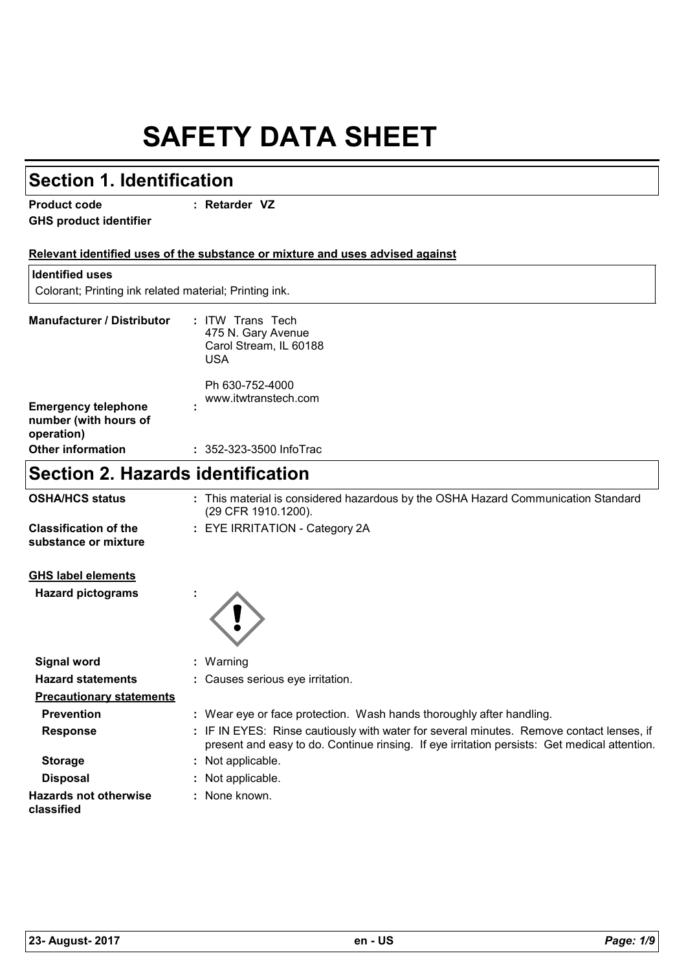## **SAFETY DATA SHEET**

| <b>Section 1. Identification</b>                       |                                                                                                                                                                                          |
|--------------------------------------------------------|------------------------------------------------------------------------------------------------------------------------------------------------------------------------------------------|
| <b>Product code</b><br><b>GHS product identifier</b>   | : Retarder VZ                                                                                                                                                                            |
|                                                        | Relevant identified uses of the substance or mixture and uses advised against                                                                                                            |
| <b>Identified uses</b>                                 |                                                                                                                                                                                          |
| Colorant; Printing ink related material; Printing ink. |                                                                                                                                                                                          |
| <b>Manufacturer / Distributor</b>                      | : ITW Trans Tech<br>475 N. Gary Avenue<br>Carol Stream, IL 60188<br><b>USA</b>                                                                                                           |
| <b>Emergency telephone</b><br>number (with hours of    | Ph 630-752-4000<br>www.itwtranstech.com                                                                                                                                                  |
| operation)<br><b>Other information</b>                 | : 352-323-3500 InfoTrac                                                                                                                                                                  |
|                                                        |                                                                                                                                                                                          |
| <b>Section 2. Hazards identification</b>               |                                                                                                                                                                                          |
| <b>OSHA/HCS status</b>                                 | : This material is considered hazardous by the OSHA Hazard Communication Standard<br>(29 CFR 1910.1200).                                                                                 |
| <b>Classification of the</b><br>substance or mixture   | : EYE IRRITATION - Category 2A                                                                                                                                                           |
| <b>GHS label elements</b><br><b>Hazard pictograms</b>  |                                                                                                                                                                                          |
| <b>Signal word</b>                                     | Warning                                                                                                                                                                                  |
| <b>Hazard statements</b>                               | Causes serious eye irritation.                                                                                                                                                           |
| <b>Precautionary statements</b>                        |                                                                                                                                                                                          |
| <b>Prevention</b>                                      | : Wear eye or face protection. Wash hands thoroughly after handling.                                                                                                                     |
| <b>Response</b>                                        | : IF IN EYES: Rinse cautiously with water for several minutes. Remove contact lenses, if<br>present and easy to do. Continue rinsing. If eye irritation persists: Get medical attention. |
| <b>Storage</b>                                         | : Not applicable.                                                                                                                                                                        |
| <b>Disposal</b>                                        | Not applicable.                                                                                                                                                                          |
| <b>Hazards not otherwise</b><br>classified             | None known.                                                                                                                                                                              |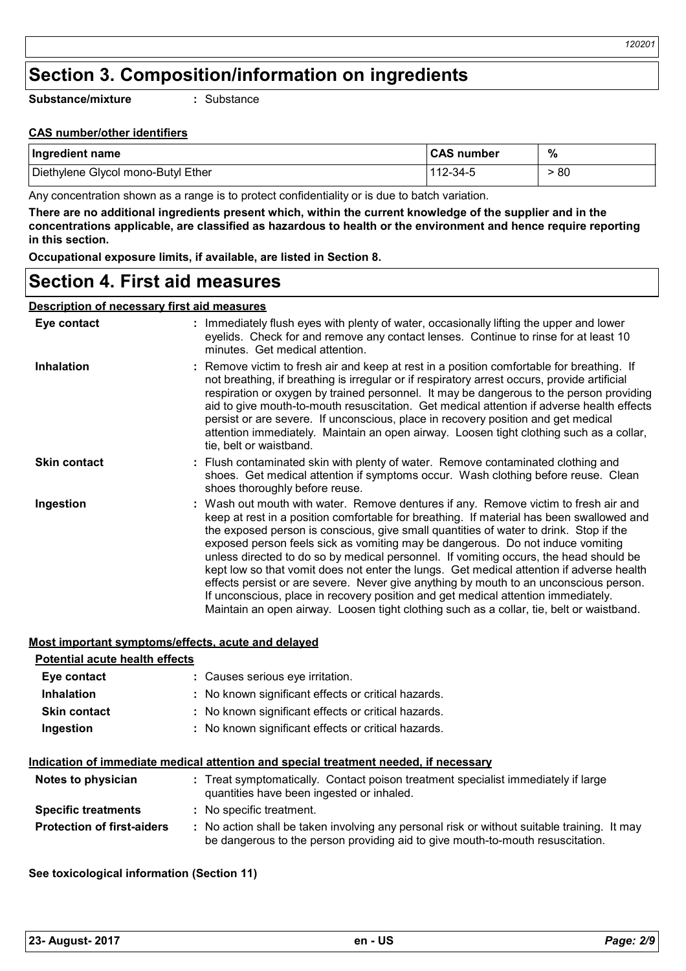## **Section 3. Composition/information on ingredients**

**Substance/mixture**

**:** Substance

### **CAS number/other identifiers**

| Supstance/Mixture<br>. Substance                                                                                |                   |      |  |
|-----------------------------------------------------------------------------------------------------------------|-------------------|------|--|
| <b>CAS number/other identifiers</b>                                                                             |                   |      |  |
| Ingredient name                                                                                                 | <b>CAS number</b> | %    |  |
| Diethylene Glycol mono-Butyl Ether                                                                              | 112-34-5          | > 80 |  |
| Antonio de la contratione de la contrata de la provisión de la contratividad de la contrata de la contratione d |                   |      |  |

Any concentration shown as a range is to protect confidentiality or is due to batch variation.

**There are no additional ingredients present which, within the current knowledge of the supplier and in the concentrations applicable, are classified as hazardous to health or the environment and hence require reporting in this section.**

**Occupational exposure limits, if available, are listed in Section 8.**

### **Section 4. First aid measures**

### **Description of necessary first aid measures**

| Eye contact         | : Immediately flush eyes with plenty of water, occasionally lifting the upper and lower<br>eyelids. Check for and remove any contact lenses. Continue to rinse for at least 10<br>minutes. Get medical attention.                                                                                                                                                                                                                                                                                                                                                                                                                                                                                                                                                                                                         |
|---------------------|---------------------------------------------------------------------------------------------------------------------------------------------------------------------------------------------------------------------------------------------------------------------------------------------------------------------------------------------------------------------------------------------------------------------------------------------------------------------------------------------------------------------------------------------------------------------------------------------------------------------------------------------------------------------------------------------------------------------------------------------------------------------------------------------------------------------------|
| <b>Inhalation</b>   | : Remove victim to fresh air and keep at rest in a position comfortable for breathing. If<br>not breathing, if breathing is irregular or if respiratory arrest occurs, provide artificial<br>respiration or oxygen by trained personnel. It may be dangerous to the person providing<br>aid to give mouth-to-mouth resuscitation. Get medical attention if adverse health effects<br>persist or are severe. If unconscious, place in recovery position and get medical<br>attention immediately. Maintain an open airway. Loosen tight clothing such as a collar,<br>tie, belt or waistband.                                                                                                                                                                                                                              |
| <b>Skin contact</b> | : Flush contaminated skin with plenty of water. Remove contaminated clothing and<br>shoes. Get medical attention if symptoms occur. Wash clothing before reuse. Clean<br>shoes thoroughly before reuse.                                                                                                                                                                                                                                                                                                                                                                                                                                                                                                                                                                                                                   |
| Ingestion           | : Wash out mouth with water. Remove dentures if any. Remove victim to fresh air and<br>keep at rest in a position comfortable for breathing. If material has been swallowed and<br>the exposed person is conscious, give small quantities of water to drink. Stop if the<br>exposed person feels sick as vomiting may be dangerous. Do not induce vomiting<br>unless directed to do so by medical personnel. If vomiting occurs, the head should be<br>kept low so that vomit does not enter the lungs. Get medical attention if adverse health<br>effects persist or are severe. Never give anything by mouth to an unconscious person.<br>If unconscious, place in recovery position and get medical attention immediately.<br>Maintain an open airway. Loosen tight clothing such as a collar, tie, belt or waistband. |

### **Most important symptoms/effects, acute and delayed**

| <b>Potential acute health effects</b> |                                                                                                                                                                               |
|---------------------------------------|-------------------------------------------------------------------------------------------------------------------------------------------------------------------------------|
| Eye contact                           | : Causes serious eye irritation.                                                                                                                                              |
| <b>Inhalation</b>                     | : No known significant effects or critical hazards.                                                                                                                           |
| <b>Skin contact</b>                   | : No known significant effects or critical hazards.                                                                                                                           |
| Ingestion                             | : No known significant effects or critical hazards.                                                                                                                           |
|                                       | Indication of immediate medical attention and special treatment needed, if necessary                                                                                          |
| Notes to physician                    | : Treat symptomatically. Contact poison treatment specialist immediately if large<br>quantities have been ingested or inhaled.                                                |
| <b>Specific treatments</b>            | : No specific treatment.                                                                                                                                                      |
| <b>Protection of first-aiders</b>     | : No action shall be taken involving any personal risk or without suitable training. It may<br>be dangerous to the person providing aid to give mouth-to-mouth resuscitation. |

# **See toxicological information (Section 11) 23- August- 2017 en - US** *Page: 2/9*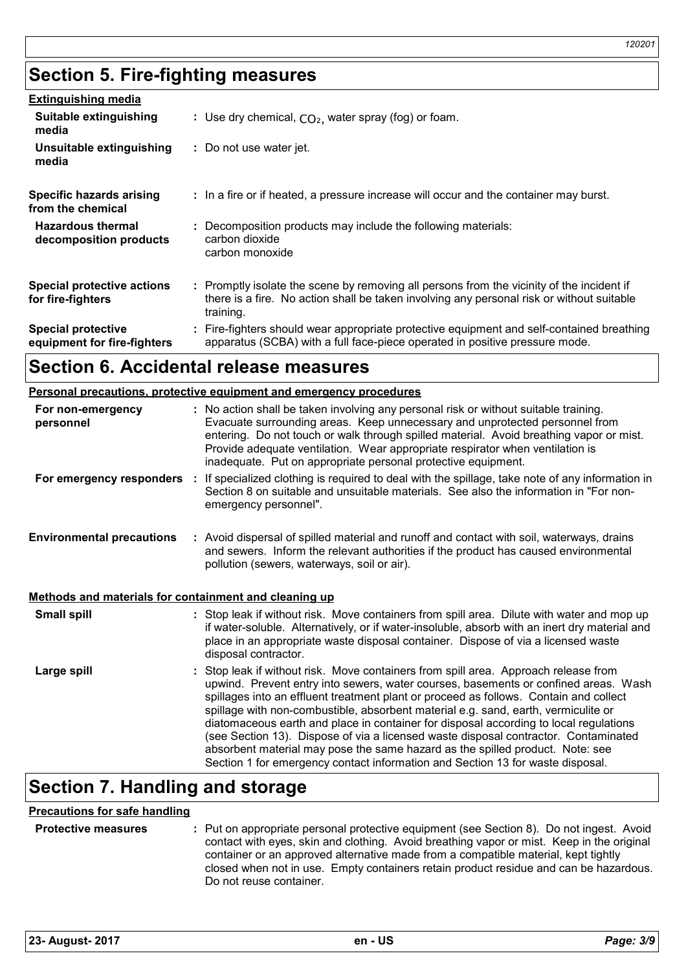## **Section 5. Fire-fighting measures**

| <b>Extinguishing media</b>                               |                                                                                                                                                                                                     |
|----------------------------------------------------------|-----------------------------------------------------------------------------------------------------------------------------------------------------------------------------------------------------|
| Suitable extinguishing<br>media                          | : Use dry chemical, $CO2$ , water spray (fog) or foam.                                                                                                                                              |
| Unsuitable extinguishing<br>media                        | : Do not use water jet.                                                                                                                                                                             |
| Specific hazards arising<br>from the chemical            | : In a fire or if heated, a pressure increase will occur and the container may burst.                                                                                                               |
| <b>Hazardous thermal</b><br>decomposition products       | : Decomposition products may include the following materials:<br>carbon dioxide<br>carbon monoxide                                                                                                  |
| <b>Special protective actions</b><br>for fire-fighters   | : Promptly isolate the scene by removing all persons from the vicinity of the incident if<br>there is a fire. No action shall be taken involving any personal risk or without suitable<br>training. |
| <b>Special protective</b><br>equipment for fire-fighters | : Fire-fighters should wear appropriate protective equipment and self-contained breathing<br>apparatus (SCBA) with a full face-piece operated in positive pressure mode.                            |

### **Section 6. Accidental release measures**

#### **Personal precautions, protective equipment and emergency procedures :** No action shall be taken involving any personal risk or without suitable training. Evacuate surrounding areas. Keep unnecessary and unprotected personnel from **For non-emergency personnel**

|                                  | entering. Do not touch or walk through spilled material. Avoid breathing vapor or mist.<br>Provide adequate ventilation. Wear appropriate respirator when ventilation is<br>inadequate. Put on appropriate personal protective equipment. |
|----------------------------------|-------------------------------------------------------------------------------------------------------------------------------------------------------------------------------------------------------------------------------------------|
| For emergency responders         | If specialized clothing is required to deal with the spillage, take note of any information in<br>Section 8 on suitable and unsuitable materials. See also the information in "For non-<br>emergency personnel".                          |
| <b>Environmental precautions</b> | : Avoid dispersal of spilled material and runoff and contact with soil, waterways, drains<br>and sewers. Inform the relevant authorities if the product has caused environmental<br>pollution (sewers, waterways, soil or air).           |

### **Methods and materials for containment and cleaning up**

| <b>Small spill</b> | : Stop leak if without risk. Move containers from spill area. Dilute with water and mop up<br>if water-soluble. Alternatively, or if water-insoluble, absorb with an inert dry material and<br>place in an appropriate waste disposal container. Dispose of via a licensed waste<br>disposal contractor.                                                                                                                                                                                                                                                                                                                                                                                                     |
|--------------------|--------------------------------------------------------------------------------------------------------------------------------------------------------------------------------------------------------------------------------------------------------------------------------------------------------------------------------------------------------------------------------------------------------------------------------------------------------------------------------------------------------------------------------------------------------------------------------------------------------------------------------------------------------------------------------------------------------------|
| Large spill        | : Stop leak if without risk. Move containers from spill area. Approach release from<br>upwind. Prevent entry into sewers, water courses, basements or confined areas. Wash<br>spillages into an effluent treatment plant or proceed as follows. Contain and collect<br>spillage with non-combustible, absorbent material e.g. sand, earth, vermiculite or<br>diatomaceous earth and place in container for disposal according to local regulations<br>(see Section 13). Dispose of via a licensed waste disposal contractor. Contaminated<br>absorbent material may pose the same hazard as the spilled product. Note: see<br>Section 1 for emergency contact information and Section 13 for waste disposal. |

## **Section 7. Handling and storage**

### **Precautions for safe handling**

| <b>Protective measures</b> | : Put on appropriate personal protective equipment (see Section 8). Do not ingest. Avoid<br>contact with eyes, skin and clothing. Avoid breathing vapor or mist. Keep in the original                  |
|----------------------------|--------------------------------------------------------------------------------------------------------------------------------------------------------------------------------------------------------|
|                            | container or an approved alternative made from a compatible material, kept tightly<br>closed when not in use. Empty containers retain product residue and can be hazardous.<br>Do not reuse container. |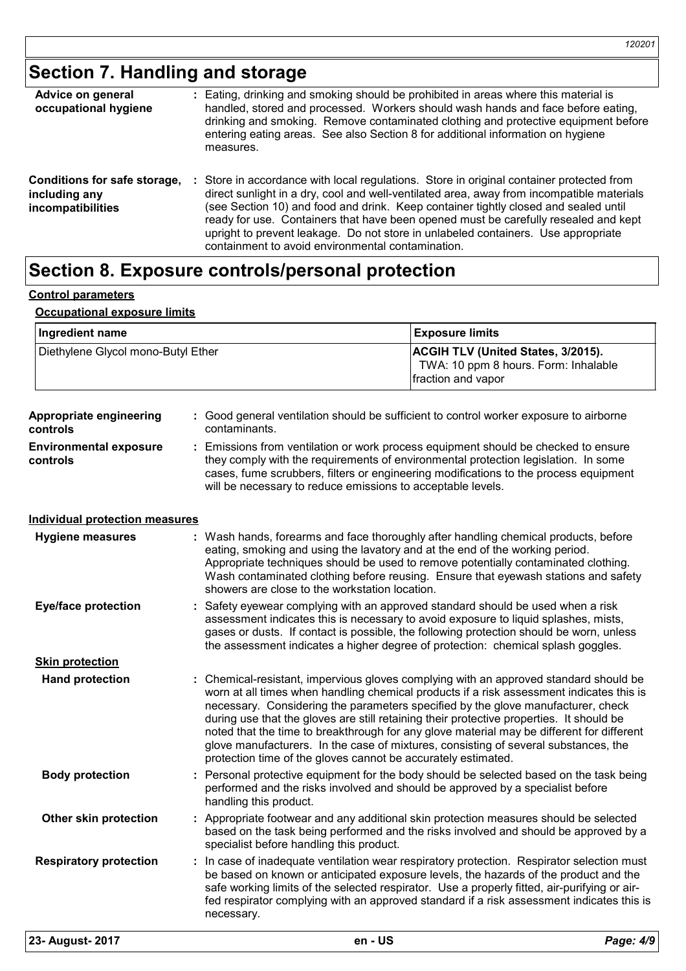## **Section 7. Handling and storage**

| Advice on general<br>occupational hygiene                                 | : Eating, drinking and smoking should be prohibited in areas where this material is<br>handled, stored and processed. Workers should wash hands and face before eating,<br>drinking and smoking. Remove contaminated clothing and protective equipment before<br>entering eating areas. See also Section 8 for additional information on hygiene<br>measures.                                                                                                                                                     |
|---------------------------------------------------------------------------|-------------------------------------------------------------------------------------------------------------------------------------------------------------------------------------------------------------------------------------------------------------------------------------------------------------------------------------------------------------------------------------------------------------------------------------------------------------------------------------------------------------------|
| Conditions for safe storage,<br>including any<br><i>incompatibilities</i> | Store in accordance with local regulations. Store in original container protected from<br>÷.<br>direct sunlight in a dry, cool and well-ventilated area, away from incompatible materials<br>(see Section 10) and food and drink. Keep container tightly closed and sealed until<br>ready for use. Containers that have been opened must be carefully resealed and kept<br>upright to prevent leakage. Do not store in unlabeled containers. Use appropriate<br>containment to avoid environmental contamination. |

## **Section 8. Exposure controls/personal protection**

### **Control parameters**

### **Occupational exposure limits**

| Ingredient name                            |                                                | <b>Exposure limits</b>                                                                                                                                                                                                                                                                                                                                                                                                                                                                                                                                                                                               |           |
|--------------------------------------------|------------------------------------------------|----------------------------------------------------------------------------------------------------------------------------------------------------------------------------------------------------------------------------------------------------------------------------------------------------------------------------------------------------------------------------------------------------------------------------------------------------------------------------------------------------------------------------------------------------------------------------------------------------------------------|-----------|
| Diethylene Glycol mono-Butyl Ether         |                                                | ACGIH TLV (United States, 3/2015).<br>TWA: 10 ppm 8 hours. Form: Inhalable<br>fraction and vapor                                                                                                                                                                                                                                                                                                                                                                                                                                                                                                                     |           |
| <b>Appropriate engineering</b><br>controls | contaminants.                                  | : Good general ventilation should be sufficient to control worker exposure to airborne                                                                                                                                                                                                                                                                                                                                                                                                                                                                                                                               |           |
| <b>Environmental exposure</b><br>controls  |                                                | Emissions from ventilation or work process equipment should be checked to ensure<br>they comply with the requirements of environmental protection legislation. In some<br>cases, fume scrubbers, filters or engineering modifications to the process equipment<br>will be necessary to reduce emissions to acceptable levels.                                                                                                                                                                                                                                                                                        |           |
| <b>Individual protection measures</b>      |                                                |                                                                                                                                                                                                                                                                                                                                                                                                                                                                                                                                                                                                                      |           |
| <b>Hygiene measures</b>                    | showers are close to the workstation location. | : Wash hands, forearms and face thoroughly after handling chemical products, before<br>eating, smoking and using the lavatory and at the end of the working period.<br>Appropriate techniques should be used to remove potentially contaminated clothing.<br>Wash contaminated clothing before reusing. Ensure that eyewash stations and safety                                                                                                                                                                                                                                                                      |           |
| <b>Eye/face protection</b>                 |                                                | Safety eyewear complying with an approved standard should be used when a risk<br>assessment indicates this is necessary to avoid exposure to liquid splashes, mists,<br>gases or dusts. If contact is possible, the following protection should be worn, unless<br>the assessment indicates a higher degree of protection: chemical splash goggles.                                                                                                                                                                                                                                                                  |           |
| <b>Skin protection</b>                     |                                                |                                                                                                                                                                                                                                                                                                                                                                                                                                                                                                                                                                                                                      |           |
| <b>Hand protection</b>                     |                                                | Chemical-resistant, impervious gloves complying with an approved standard should be<br>worn at all times when handling chemical products if a risk assessment indicates this is<br>necessary. Considering the parameters specified by the glove manufacturer, check<br>during use that the gloves are still retaining their protective properties. It should be<br>noted that the time to breakthrough for any glove material may be different for different<br>glove manufacturers. In the case of mixtures, consisting of several substances, the<br>protection time of the gloves cannot be accurately estimated. |           |
| <b>Body protection</b>                     | handling this product.                         | Personal protective equipment for the body should be selected based on the task being<br>performed and the risks involved and should be approved by a specialist before                                                                                                                                                                                                                                                                                                                                                                                                                                              |           |
| Other skin protection                      | specialist before handling this product.       | : Appropriate footwear and any additional skin protection measures should be selected<br>based on the task being performed and the risks involved and should be approved by a                                                                                                                                                                                                                                                                                                                                                                                                                                        |           |
| <b>Respiratory protection</b>              | necessary.                                     | : In case of inadequate ventilation wear respiratory protection. Respirator selection must<br>be based on known or anticipated exposure levels, the hazards of the product and the<br>safe working limits of the selected respirator. Use a properly fitted, air-purifying or air-<br>fed respirator complying with an approved standard if a risk assessment indicates this is                                                                                                                                                                                                                                      |           |
| 23- August- 2017                           |                                                | en - US                                                                                                                                                                                                                                                                                                                                                                                                                                                                                                                                                                                                              | Page: 4/9 |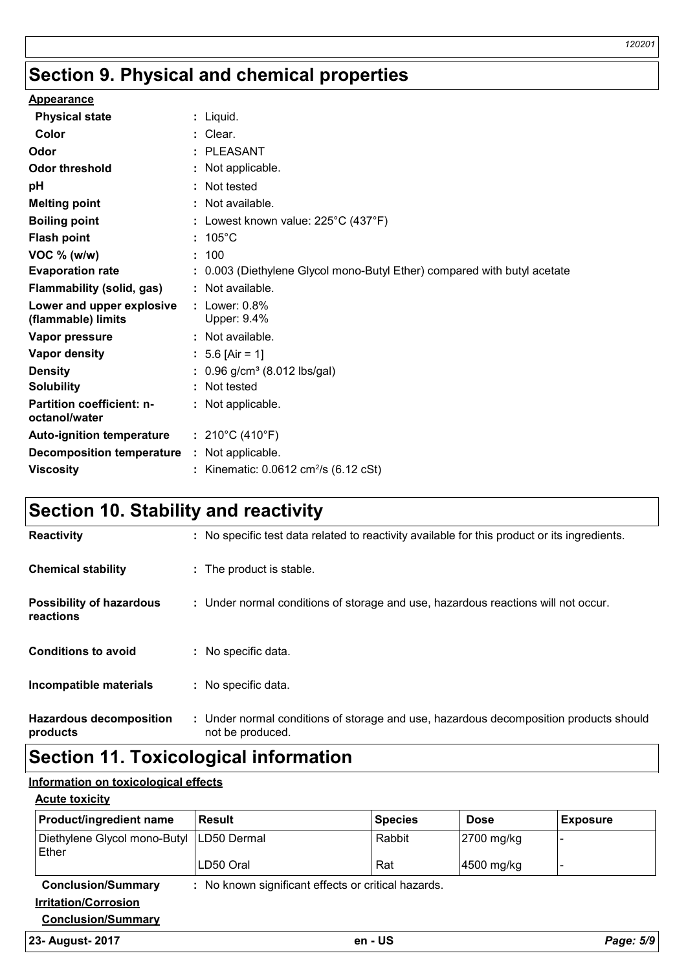## **Section 9. Physical and chemical properties**

| <b>Appearance</b>                                  |    |                                                                          |
|----------------------------------------------------|----|--------------------------------------------------------------------------|
| <b>Physical state</b>                              |    | : Liquid.                                                                |
| Color                                              |    | : Clear.                                                                 |
| Odor                                               |    | <b>PLEASANT</b>                                                          |
| <b>Odor threshold</b>                              |    | Not applicable.                                                          |
| pH                                                 |    | Not tested                                                               |
| <b>Melting point</b>                               |    | : Not available.                                                         |
| <b>Boiling point</b>                               |    | : Lowest known value: $225^{\circ}$ C (437 $^{\circ}$ F)                 |
| <b>Flash point</b>                                 | ÷. | $105^{\circ}$ C                                                          |
| VOC % (w/w)                                        |    | : 100                                                                    |
| <b>Evaporation rate</b>                            |    | : 0.003 (Diethylene Glycol mono-Butyl Ether) compared with butyl acetate |
| <b>Flammability (solid, gas)</b>                   |    | : Not available.                                                         |
| Lower and upper explosive<br>(flammable) limits    |    | : Lower: $0.8\%$<br>Upper: 9.4%                                          |
| Vapor pressure                                     |    | : Not available.                                                         |
| <b>Vapor density</b>                               |    | : 5.6 [Air = 1]                                                          |
| <b>Density</b>                                     |    | $: 0.96$ g/cm <sup>3</sup> (8.012 lbs/gal)                               |
| <b>Solubility</b>                                  |    | Not tested                                                               |
| <b>Partition coefficient: n-</b><br>octanol/water  |    | : Not applicable.                                                        |
| <b>Auto-ignition temperature</b>                   |    | : $210^{\circ}$ C (410 $^{\circ}$ F)                                     |
| <b>Decomposition temperature : Not applicable.</b> |    |                                                                          |
| <b>Viscosity</b>                                   |    | Kinematic: $0.0612 \text{ cm}^2/\text{s}$ (6.12 cSt)                     |

## **Section 10. Stability and reactivity**

| <b>Reactivity</b>                            | : No specific test data related to reactivity available for this product or its ingredients.              |
|----------------------------------------------|-----------------------------------------------------------------------------------------------------------|
| <b>Chemical stability</b>                    | : The product is stable.                                                                                  |
| <b>Possibility of hazardous</b><br>reactions | : Under normal conditions of storage and use, hazardous reactions will not occur.                         |
| <b>Conditions to avoid</b>                   | : No specific data.                                                                                       |
| Incompatible materials                       | : No specific data.                                                                                       |
| <b>Hazardous decomposition</b><br>products   | : Under normal conditions of storage and use, hazardous decomposition products should<br>not be produced. |

## **Section 11. Toxicological information**

### **Information on toxicological effects**

### **Acute toxicity**

| <b>Product/ingredient name</b>                      | <b>Result</b>                                       | <b>Species</b> | <b>Dose</b> | <b>Exposure</b> |
|-----------------------------------------------------|-----------------------------------------------------|----------------|-------------|-----------------|
| Diethylene Glycol mono-Butyl   LD50 Dermal<br>Ether |                                                     | Rabbit         | 2700 mg/kg  |                 |
|                                                     | LD50 Oral                                           | Rat            | 4500 mg/kg  |                 |
| <b>Conclusion/Summary</b>                           | : No known significant effects or critical hazards. |                |             |                 |
| <b>Irritation/Corrosion</b>                         |                                                     |                |             |                 |
| <b>Conclusion/Summary</b>                           |                                                     |                |             |                 |

### **23- August- 2017 en - US** *Page: 5/9*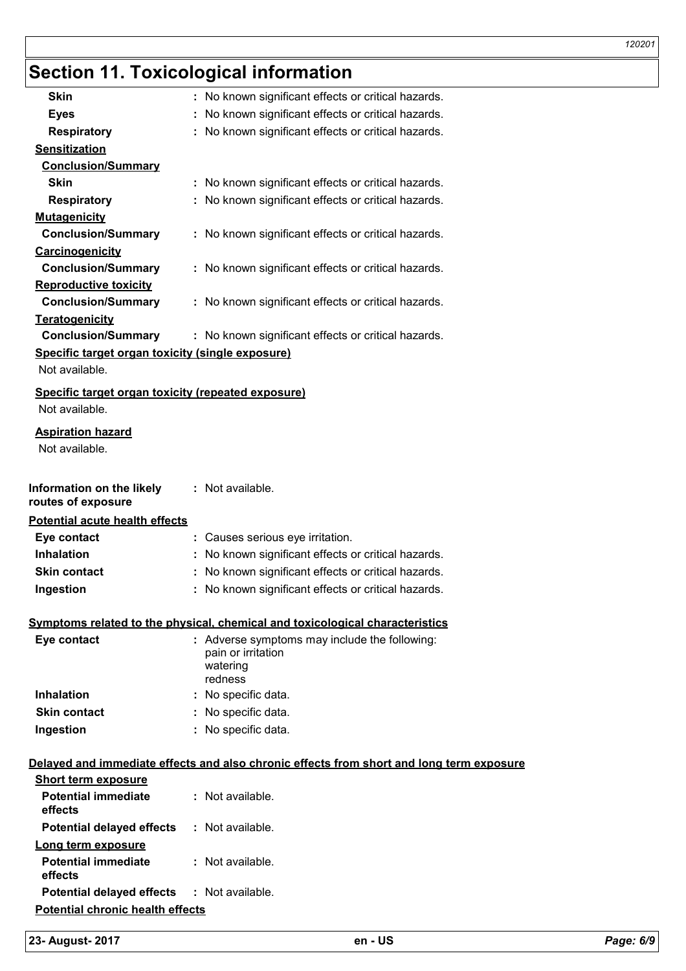## **Section 11. Toxicological information**

| <b>Skin</b>                                                          | : No known significant effects or critical hazards.                                      |
|----------------------------------------------------------------------|------------------------------------------------------------------------------------------|
| <b>Eyes</b>                                                          | No known significant effects or critical hazards.                                        |
| <b>Respiratory</b>                                                   | : No known significant effects or critical hazards.                                      |
| <b>Sensitization</b>                                                 |                                                                                          |
| <b>Conclusion/Summary</b>                                            |                                                                                          |
| Skin                                                                 | : No known significant effects or critical hazards.                                      |
| <b>Respiratory</b>                                                   | : No known significant effects or critical hazards.                                      |
| <b>Mutagenicity</b>                                                  |                                                                                          |
| <b>Conclusion/Summary</b>                                            | : No known significant effects or critical hazards.                                      |
| Carcinogenicity                                                      |                                                                                          |
| <b>Conclusion/Summary</b>                                            | : No known significant effects or critical hazards.                                      |
| <b>Reproductive toxicity</b>                                         |                                                                                          |
| <b>Conclusion/Summary</b>                                            | : No known significant effects or critical hazards.                                      |
| Teratogenicity                                                       |                                                                                          |
| <b>Conclusion/Summary</b>                                            | : No known significant effects or critical hazards.                                      |
| Specific target organ toxicity (single exposure)                     |                                                                                          |
| Not available.                                                       |                                                                                          |
| Specific target organ toxicity (repeated exposure)<br>Not available. |                                                                                          |
|                                                                      |                                                                                          |
| <b>Aspiration hazard</b><br>Not available.                           |                                                                                          |
|                                                                      |                                                                                          |
| Information on the likely<br>routes of exposure                      | : Not available.                                                                         |
| <b>Potential acute health effects</b>                                |                                                                                          |
| Eye contact                                                          | : Causes serious eye irritation.                                                         |
| <b>Inhalation</b>                                                    | : No known significant effects or critical hazards.                                      |
| <b>Skin contact</b>                                                  | : No known significant effects or critical hazards.                                      |
| Ingestion                                                            | : No known significant effects or critical hazards.                                      |
|                                                                      | <u>Symptoms related to the physical, chemical and toxicological characteristics</u>      |
| Eye contact                                                          | : Adverse symptoms may include the following:                                            |
|                                                                      | pain or irritation                                                                       |
|                                                                      | watering<br>redness                                                                      |
| <b>Inhalation</b>                                                    | : No specific data.                                                                      |
| <b>Skin contact</b>                                                  | : No specific data.                                                                      |
| Ingestion                                                            | : No specific data.                                                                      |
|                                                                      |                                                                                          |
|                                                                      | Delayed and immediate effects and also chronic effects from short and long term exposure |
| <b>Short term exposure</b>                                           |                                                                                          |
| <b>Potential immediate</b><br>effects                                | : Not available.                                                                         |
| <b>Potential delayed effects</b>                                     | : Not available.                                                                         |
| Long term exposure                                                   |                                                                                          |
| <b>Potential immediate</b><br>effects                                | : Not available.                                                                         |

**Potential chronic health effects**

**Potential delayed effects :** Not available.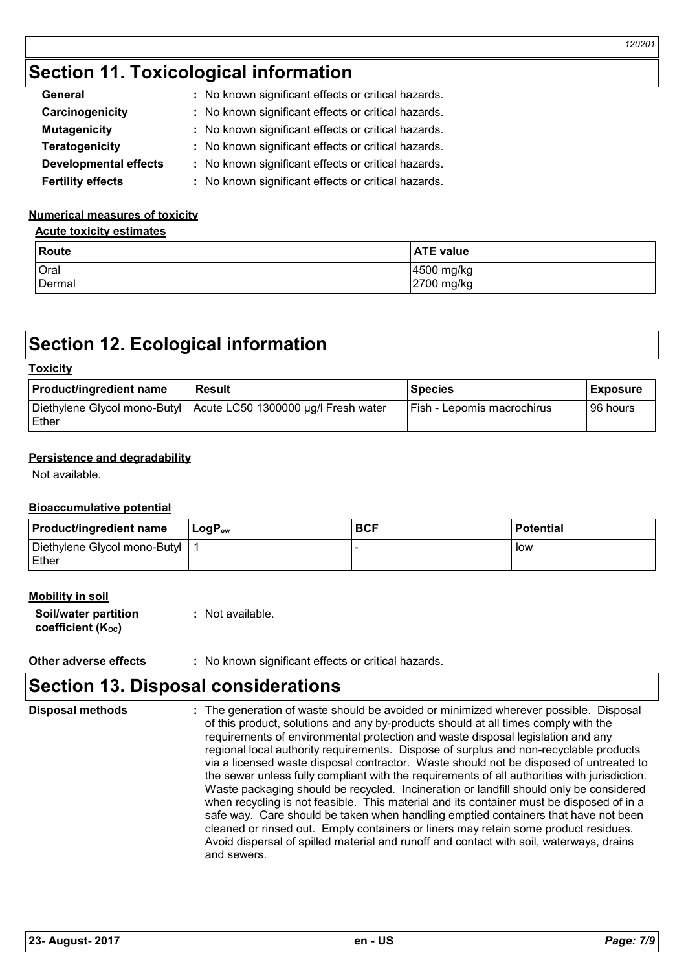## **Section 11. Toxicological information**

| General                      | : No known significant effects or critical hazards. |
|------------------------------|-----------------------------------------------------|
| Carcinogenicity              | : No known significant effects or critical hazards. |
| <b>Mutagenicity</b>          | : No known significant effects or critical hazards. |
| <b>Teratogenicity</b>        | : No known significant effects or critical hazards. |
| <b>Developmental effects</b> | : No known significant effects or critical hazards. |
| <b>Fertility effects</b>     | : No known significant effects or critical hazards. |

### **Numerical measures of toxicity**

### **Acute toxicity estimates**

| <b>Route</b> | <b>ATE value</b> |
|--------------|------------------|
| Oral         | 4500 mg/kg       |
| Dermal       | 2700 mg/kg       |

## **Section 12. Ecological information**

### **Toxicity**

| <b>Product/ingredient name</b> | <b>Result</b>                                                    | l Species                         | <b>Exposure</b> |
|--------------------------------|------------------------------------------------------------------|-----------------------------------|-----------------|
| <b>IEther</b>                  | Diethylene Glycol mono-Butyl Acute LC50 1300000 µg/l Fresh water | <b>Fish - Lepomis macrochirus</b> | 196 hours       |

### **Persistence and degradability**

Not available.

### **Bioaccumulative potential**

| <b>Product/ingredient name</b>                 | $LogP_{ow}$ | <b>BCF</b> | <b>Potential</b> |
|------------------------------------------------|-------------|------------|------------------|
| Diethylene Glycol mono-Butyl<br><b>I</b> Ether |             |            | low              |

### **Mobility in soil**

| Soil/water partition           | : Not available. |
|--------------------------------|------------------|
| coefficient (K <sub>oc</sub> ) |                  |

### **Other adverse effects** : No known significant effects or critical hazards.

### **Section 13. Disposal considerations**

| <b>Disposal methods</b> | : The generation of waste should be avoided or minimized wherever possible. Disposal<br>of this product, solutions and any by-products should at all times comply with the<br>requirements of environmental protection and waste disposal legislation and any<br>regional local authority requirements. Dispose of surplus and non-recyclable products<br>via a licensed waste disposal contractor. Waste should not be disposed of untreated to<br>the sewer unless fully compliant with the requirements of all authorities with jurisdiction.<br>Waste packaging should be recycled. Incineration or landfill should only be considered<br>when recycling is not feasible. This material and its container must be disposed of in a<br>safe way. Care should be taken when handling emptied containers that have not been<br>cleaned or rinsed out. Empty containers or liners may retain some product residues.<br>Avoid dispersal of spilled material and runoff and contact with soil, waterways, drains<br>and sewers. |
|-------------------------|-------------------------------------------------------------------------------------------------------------------------------------------------------------------------------------------------------------------------------------------------------------------------------------------------------------------------------------------------------------------------------------------------------------------------------------------------------------------------------------------------------------------------------------------------------------------------------------------------------------------------------------------------------------------------------------------------------------------------------------------------------------------------------------------------------------------------------------------------------------------------------------------------------------------------------------------------------------------------------------------------------------------------------|
|-------------------------|-------------------------------------------------------------------------------------------------------------------------------------------------------------------------------------------------------------------------------------------------------------------------------------------------------------------------------------------------------------------------------------------------------------------------------------------------------------------------------------------------------------------------------------------------------------------------------------------------------------------------------------------------------------------------------------------------------------------------------------------------------------------------------------------------------------------------------------------------------------------------------------------------------------------------------------------------------------------------------------------------------------------------------|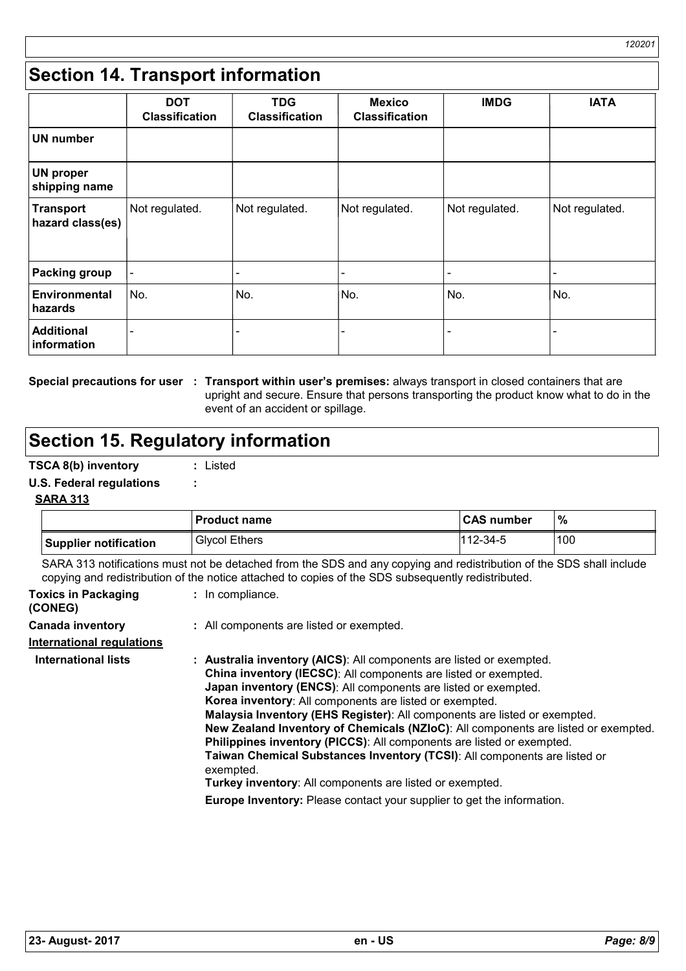## **Section 14. Transport information**

|                                      | <b>DOT</b><br><b>Classification</b> | <b>TDG</b><br><b>Classification</b> | <b>Mexico</b><br><b>Classification</b> | <b>IMDG</b>    | <b>IATA</b>    |
|--------------------------------------|-------------------------------------|-------------------------------------|----------------------------------------|----------------|----------------|
| <b>UN</b> number                     |                                     |                                     |                                        |                |                |
| <b>UN proper</b><br>shipping name    |                                     |                                     |                                        |                |                |
| <b>Transport</b><br>hazard class(es) | Not regulated.                      | Not regulated.                      | Not regulated.                         | Not regulated. | Not regulated. |
| <b>Packing group</b>                 |                                     |                                     |                                        | -              |                |
| Environmental<br>hazards             | No.                                 | No.                                 | No.                                    | No.            | No.            |
| <b>Additional</b><br>information     |                                     |                                     |                                        |                |                |

**Special precautions for user : Transport within user's premises: always transport in closed containers that are** upright and secure. Ensure that persons transporting the product know what to do in the event of an accident or spillage.

## **Section 15. Regulatory information**

### **TSCA 8(b) inventory :** Listed

### **U.S. Federal regulations :**

### **SARA 313**

|                       | <b>Product name</b>  | <b>CAS number</b> | %   |
|-----------------------|----------------------|-------------------|-----|
| Supplier notification | <b>Glycol Ethers</b> | $1112 - 34 - 5$   | 100 |

SARA 313 notifications must not be detached from the SDS and any copying and redistribution of the SDS shall include copying and redistribution of the notice attached to copies of the SDS subsequently redistributed.

| <b>Toxics in Packaging</b><br>(CONEG) | : In compliance.                                                                                                                                                                                                                                                                                                                                                                                                                                                                                                                                                                                                                                                                                                                                               |
|---------------------------------------|----------------------------------------------------------------------------------------------------------------------------------------------------------------------------------------------------------------------------------------------------------------------------------------------------------------------------------------------------------------------------------------------------------------------------------------------------------------------------------------------------------------------------------------------------------------------------------------------------------------------------------------------------------------------------------------------------------------------------------------------------------------|
| <b>Canada inventory</b>               | : All components are listed or exempted.                                                                                                                                                                                                                                                                                                                                                                                                                                                                                                                                                                                                                                                                                                                       |
| <b>International requlations</b>      |                                                                                                                                                                                                                                                                                                                                                                                                                                                                                                                                                                                                                                                                                                                                                                |
| <b>International lists</b>            | : Australia inventory (AICS): All components are listed or exempted.<br>China inventory (IECSC): All components are listed or exempted.<br><b>Japan inventory (ENCS):</b> All components are listed or exempted.<br>Korea inventory: All components are listed or exempted.<br>Malaysia Inventory (EHS Register): All components are listed or exempted.<br>New Zealand Inventory of Chemicals (NZIoC): All components are listed or exempted.<br>Philippines inventory (PICCS): All components are listed or exempted.<br>Taiwan Chemical Substances Inventory (TCSI): All components are listed or<br>exempted.<br>Turkey inventory: All components are listed or exempted.<br><b>Europe Inventory:</b> Please contact your supplier to get the information. |